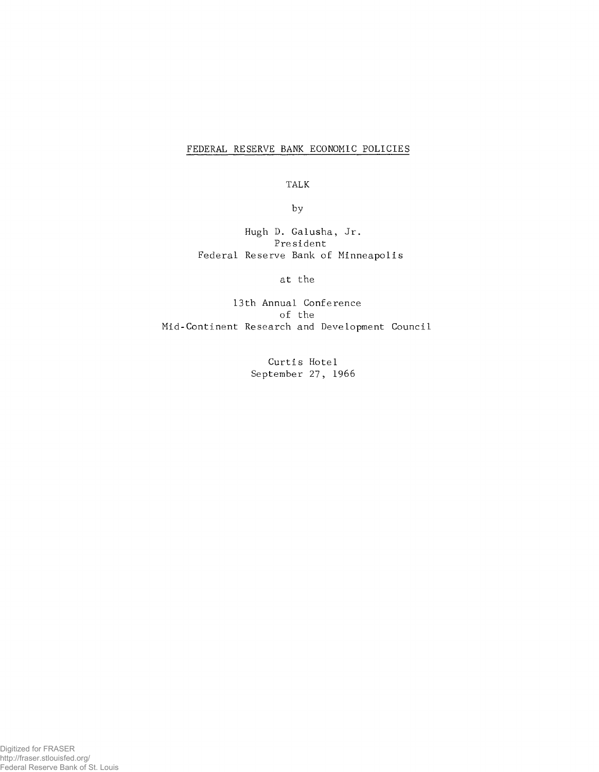## FEDERAL RESERVE BANK ECONOMIC POLICIES

**TALK**

**by**

**Hugh D. Galusha, Jr. President Federal Reserve Bank of Minneapolis**

**at the**

**13th Annual Conference of the Mid-Continent Research and Development Council**

> **Curtis Hotel September 27, 1966**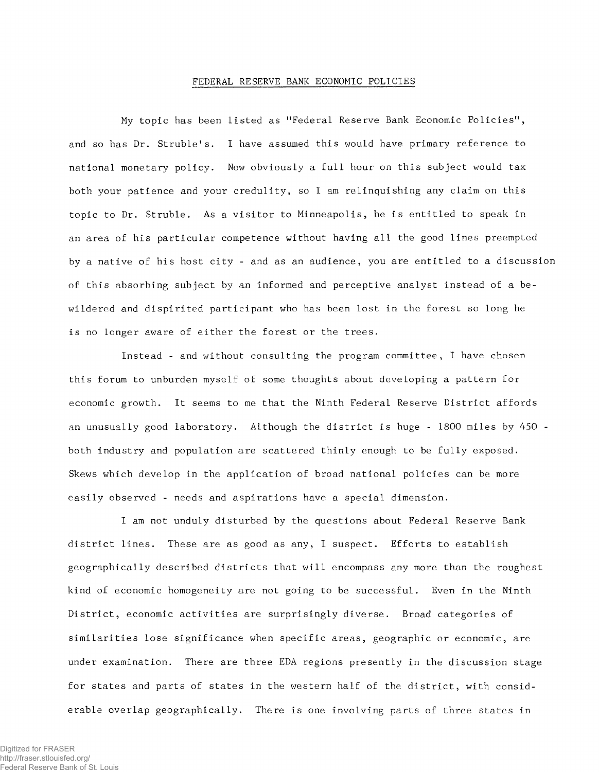## FEDERAL RESERVE BANK ECONOMIC POLICIES

**My topic has been listed as "Federal Reserve Bank Economic Policies'\* , and so has Dr. Struble's. I have assumed this would have primary reference to national monetary policy. Now obviously a full hour on this subject would tax both your patience and your credulity, so I am relinquishing any claim on this topic to Dr. Struble. As a visitor to Minneapolis, he is entitled to speak in an area of his particular competence without having all the good lines preempted by a native of his host city - and as an audience, you are entitled to a discussion** of this absorbing subject by an informed and perceptive analyst instead of a be**wildered and dispirited participant who has been lost in the forest so long he is no longer aware of either the forest or the trees.**

**Instead - and without consulting the program committee, I have chosen this forum to unburden myself of some thoughts about developing a pattern for economic growth. It seems to me that the Ninth Federal Reserve District affords an unusually good laboratory. Although the district is huge - 1800 miles by 450 both industry and population are scattered thinly enough to be fully exposed. Skews which develop in the application of broad national policies can be more easily observed - needs and aspirations have a special dimension.**

**I am not unduly disturbed by the questions about Federal Reserve Bank district lines. These are as good as any, I suspect. Efforts to establish geographically described districts that will encompass any more than the roughest kind of economic homogeneity are not going to be successful. Even in the Ninth District, economic activities are surprisingly diverse. Broad categories of similarities lose significance when specific areas, geographic or economic, are under examination. There are three EDA regions presently in the discussion stage for states and parts of states in the western half of the district, with considerable overlap geographically. There is one involving parts of three states in**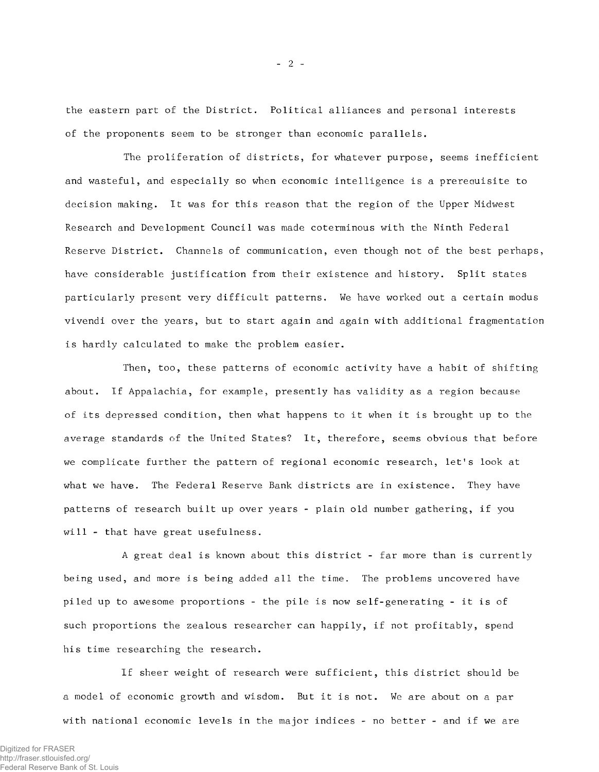**the eastern part of the District. Political alliances and personal interests of the proponents seem to be stronger than economic parallels.**

**The proliferation of districts, for whatever purpose, seems inefficient and wasteful, and especially so when economic intelligence is a prerequisite to decision making. It was for this reason that the region of the Upper Midwest Research and Development Council was made coterminous with the Ninth Federal Reserve District. Channels of communication, even though not of the best perhaps, have considerable justification from their existence and history. Split states particularly present very difficult patterns. We have worked out a certain modus vivendi over the years, but to start again and again with additional fragmentation is hardly calculated to make the problem easier.**

**Then, too, these patterns of economic activity have a habit of shifting about. If Appalachia, for example, presently has validity as a region because of its depressed condition, then what happens to it when it is brought up to the average standards of the United States? It, therefore, seems obvious that before we complicate further the pattern of regional economic research, let's look at what we have. The Federal Reserve Bank districts are in existence. They have patterns of research built up over years - plain old number gathering, if you will - that have great usefulness.**

**A great deal is known about this district - far more than is currently being used, and more is being added all the time. The problems uncovered have piled up to awesome proportions - the pile is now seIf-generating - it is of such proportions the zealous researcher can happily, if not profitably, spend his time researching the research.**

**If sheer weight of research were sufficient, this district should be a model of economic growth and wisdom. But it is not. We are about on a par with national economic levels in the major indices - no better - and if we are**

- 2 -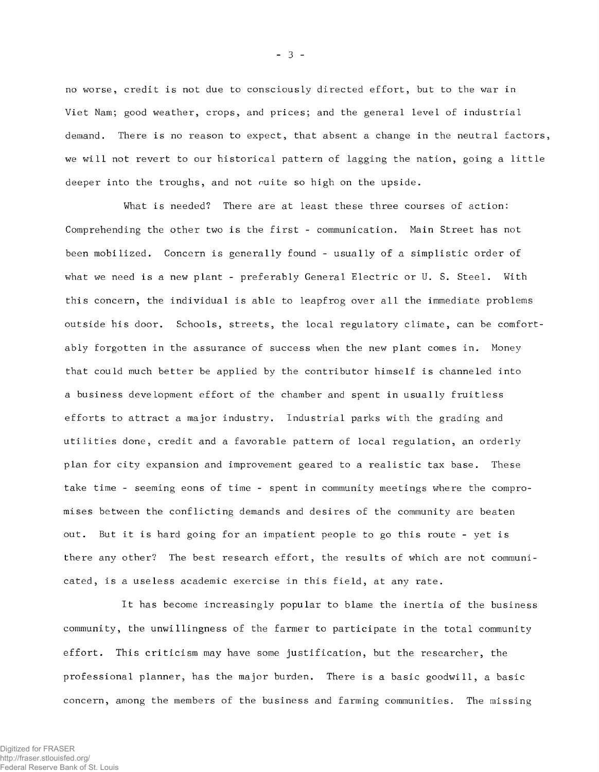**no worse, credit is not due to consciously directed effort, but to the war in Viet Nam; good weather, crops, and prices; and the general level of industrial demand. There is no reason to expect, that absent a change in the neutral factors, we will not revert to our historical pattern of lagging the nation, going a little deeper into the troughs, and not ouite so high on the upside.**

**What is needed? There are at least these three courses of action: Comprehending the other two is the first - communication. Main Street has not been mobilized. Concern is generally found - usually of a simplistic order of what we need is a new plant - preferably General Electric or U. S. Steel. With this concern, the individual is able to leapfrog over all the immediate problems outside his door. Schools, streets, the local regulatory climate, can be comfortably forgotten in the assurance of success when the new plant comes in. Money that could much better be applied by the contributor himself is channeled into a business development effort of the chamber and spent in usually fruitless efforts to attract a major industry. Industrial parks with the grading and utilities done, credit and a favorable pattern of local regulation, an orderly plan for city expansion and improvement geared to a realistic tax base. These take time - seeming eons of time - spent in community meetings where the compromises between the conflicting demands and desires of the community are beaten out. But it is hard going for an impatient people to go this route - yet is there any other? The best research effort, the results of which are not communicated, is a useless academic exercise in this field, at any rate.**

**It has become increasingly popular to blame the inertia of the business community, the unwillingness of the farmer to participate in the total community effort. This criticism may have some justification, but the researcher, the professional planner, has the major burden. There is a basic goodwill, a basic concern, among the members of the business and farming communities. The missing**

- 3 -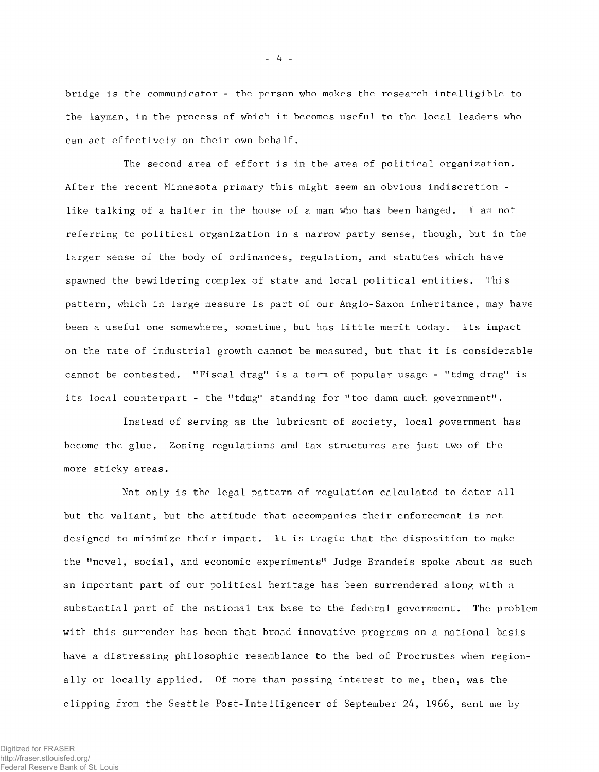**bridge is the communicator - the person who makes the research intelligible to the layman, in the process of which it becomes useful to the local leaders who can act effectively on their own behalf.**

**The second area of effort is in the area of political organization. After the recent Minnesota primary this might seem an obvious indiscretion like talking of a halter in the house of a man who has been hanged. I am not referring to political organization in a narrow party sense, though, but in the larger sense of the body of ordinances, regulation, and statutes which have spawned the bewildering complex of state and local political entities. This pattern, which in large measure is part of our Anglo-Saxon inheritance, may have been a useful one somewhere, sometime, but has little merit today. Its impact on the rate of industrial growth cannot be measured, but that it is considerable** cannot be contested. "Fiscal drag" is a term of popular usage - "tdmg drag" is its local counterpart - the "tdmg" standing for "too damn much government".

**Instead of serving as the lubricant of society, local government has become the glue. Zoning regulations and tax structures are just two of the more sticky areas.**

**Not only is the legal pattern of regulation calculated to deter all but the valiant, but the attitude that accompanies their enforcement is not designed to minimize their impact. It is tragic that the disposition to make the nnovel, social, and economic experiments11 Judge Brandeis spoke about as such an important part of our political heritage has been surrendered along with a substantial part of the national tax base to the federal government. The problem with this surrender has been that broad innovative programs on a national basis have a distressing philosophic resemblance to the bed of Procrustes when regionally or locally applied. Of more than passing interest to me, then, was the clipping from the Seattle Post-Intelligencer of September 24, 1966, sent me by**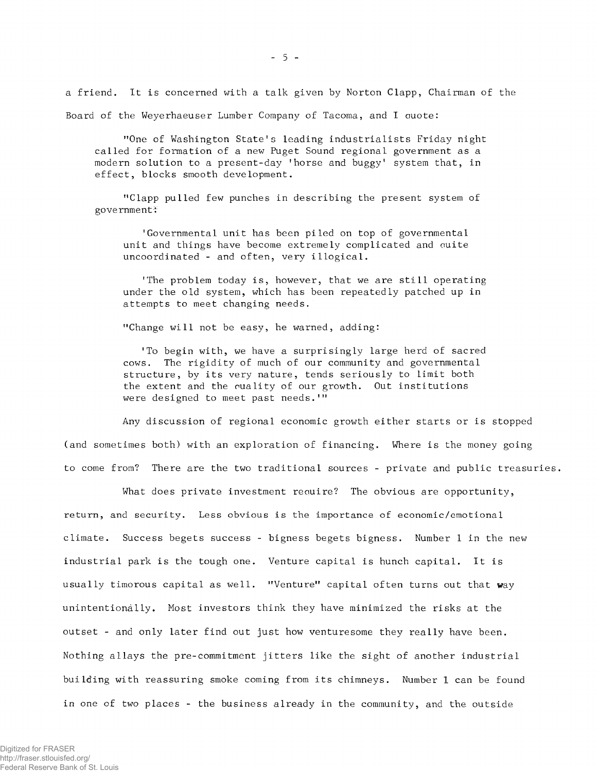**a friend. It is concerned with a talk given by Norton Clapp, Chairman of the Board of the Weyerhaeuser Lumber Company of Tacoma, and I quote:**

"One of Washington State's leading industrialists Friday night **called for formation of a new Puget Sound regional government as a modern solution to a present-day 'horse and buggy' system that, in effect, blocks smooth development.**

**"Clapp pulled few punches in describing the present system of government:'**

**'Governmental unit has been piled on top of governmental unit and things have become extremely complicated and auite uncoordinated - and often, very illogical.**

**'The problem today is, however, that we are still operating under the old system, which has been repeatedly patched up in attempts to meet changing needs.**

**"Change will not be easy, he warned, adding:**

**'To begin with, we have a surprisingly large herd of sacred cows. The rigidity of much of our community and governmental structure, by its very nature, tends seriously to limit both** the extent and the quality of our growth. Out institutions were designed to meet past needs.'"

**Any discussion of regional economic growth either starts or is stopped (and sometimes both) with an exploration of financing. Where is the money going to come from? There are the two traditional sources - private and public treasuries.**

**What does private investment require? The obvious are opportunity, return, and security. Less obvious is the importance of economic/emotional climate. Success begets success - bigness begets bigness. Number 1 in the new industrial park is the tough one. Venture capital is hunch capital. It is usually timorous capital as well. "Venture" capital often turns out that way unintentionally. Most investors think they have minimized the risks at the outset - and only later find out just how venturesome they really have been. Nothing allays the pre-commitment jitters like the sight of another industrial building with reassuring smoke coming from its chimneys. Number 1 can be found in one of two places - the business already in the community, and the outside**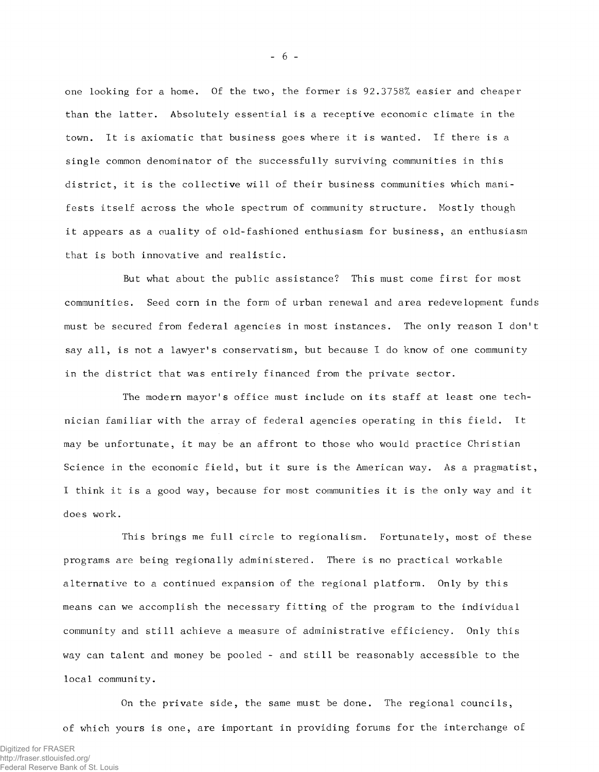**one looking for a home. Of the two, the former is 92.3758% easier and cheaper than the latter. Absolutely essential is a receptive economic climate in the town. It is axiomatic that business goes where it is wanted. If there is a single common denominator of the successfully surviving communities in this** district, it is the collective will of their business communities which mani**fests itself across the whole spectrum of community structure. Mostly though it appears as a quality of old-fashioned enthusiasm for business, an enthusiasm that is both innovative and realistic.**

**But what about the public assistance? This must come first for most communities. Seed corn in the form of urban renewal and area redevelopment fund must be secured from federal agencies in most instances. The only reason I don' say all, is not a lawyer's conservatism, but because I do know of one community in the district that was entirely financed from the private sector.**

**The modern mayor's office must include on its staff at least one technician familiar with the array of federal agencies operating in this field. It may be unfortunate, it may be an affront to those who would practice Christian Science in the economic field, but it sure is the American way. As a pragmatist I think it is a good way, because for most communities it is the only way and it does work.**

**This brings me full circle to regionalism. Fortunately, most of these programs are being regionally administered. There is no practical workable alternative to a continued expansion of the regional platform. Only by this means can we accomplish the necessary fitting of the program to the individual community and still achieve a measure of administrative efficiency. Only this way can talent and money be pooled - and still be reasonably accessible to the local community.**

**On the private side, the same must be done. The regional councils, of which yours is one, are important in providing forums for the interchange of**

 $-6-$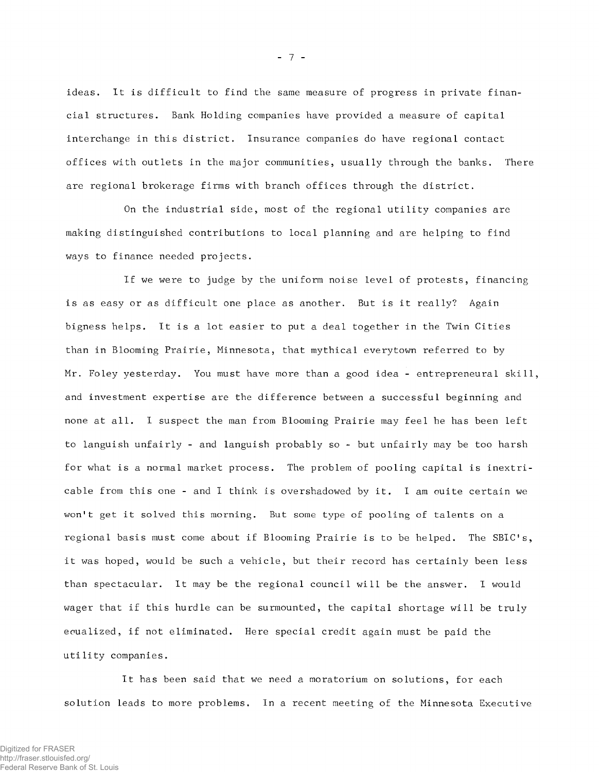**ideas. It is difficult to find the same measure of progress in private financial structures. Bank Holding companies have provided a measure of capital interchange in this district. Insurance companies do have regional contact offices with outlets in the major communities, usually through the banks. There are regional brokerage firms with branch offices through the district.**

**On the industrial side, most of the regional utility companies are making distinguished contributions to local planning and are helping to find ways to finance needed projects.**

**If we were to judge by the uniform noise level of protests, financing is as easy or as difficult one place as another. But is it really? Again bigness helps. It is a lot easier to put a deal together in the Twin Cities than in Blooming Prairie, Minnesota, that mythical everytown referred to by Mr. Foley yesterday. You must have more than a good idea - entrepreneural skill, and investment expertise are the difference between a successful beginning and none at all. I suspect the man from Blooming Prairie may feel he has been left to languish unfairly - and languish probably so - but unfairly may be too harsh for what is a normal market process. The problem of pooling capital is inextricable from this one - and I think is overshadowed by it. I am ouite certain we won't get it solved this morning. But some type of pooling of talents on a** regional basis must come about if Blooming Prairie is to be helped. The SBIC's, **it was hoped, would be such a vehicle, but their record has certainly been less than spectacular. It may be the regional council will be the answer. I would wager that if this hurdle can be surmounted, the capital shortage will be truly ecualized, if not eliminated. Here special credit again must be paid the utility companies.**

**It has been said that we need a moratorium on solutions, for each solution leads to more problems. In a recent meeting of the Minnesota Executive**

- 7 -